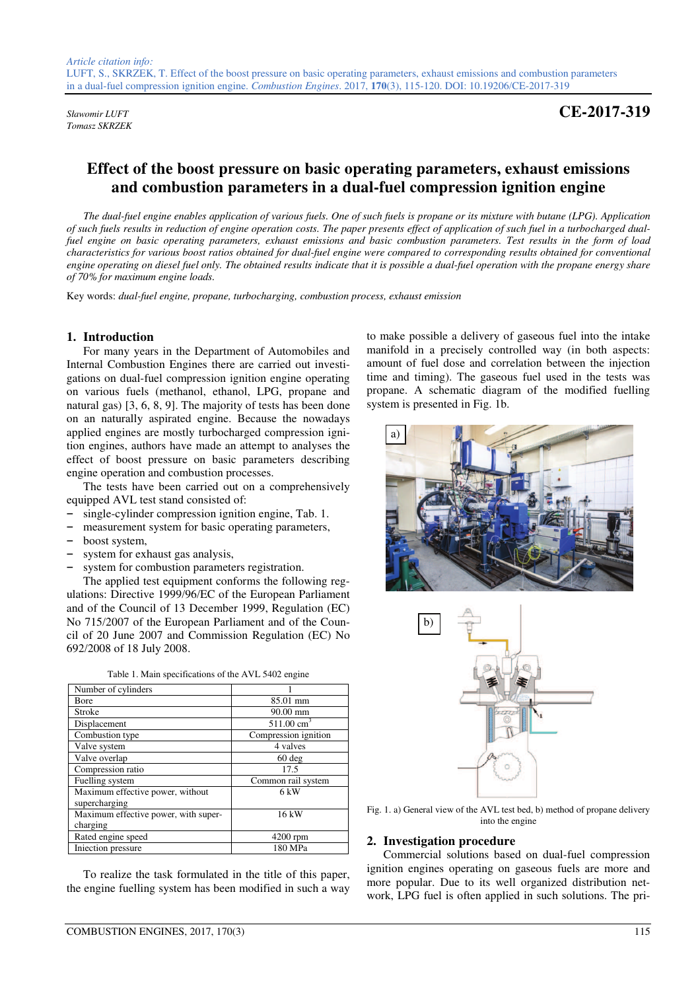*Tomasz SKRZEK* 

*Sławomir LUFT* **CE-2017-319**

# **Effect of the boost pressure on basic operating parameters, exhaust emissions and combustion parameters in a dual-fuel compression ignition engine**

*The dual-fuel engine enables application of various fuels. One of such fuels is propane or its mixture with butane (LPG). Application of such fuels results in reduction of engine operation costs. The paper presents effect of application of such fuel in a turbocharged dualfuel engine on basic operating parameters, exhaust emissions and basic combustion parameters. Test results in the form of load characteristics for various boost ratios obtained for dual-fuel engine were compared to corresponding results obtained for conventional engine operating on diesel fuel only. The obtained results indicate that it is possible a dual-fuel operation with the propane energy share of 70% for maximum engine loads.* 

Key words: *dual-fuel engine, propane, turbocharging, combustion process, exhaust emission*

### **1. Introduction**

For many years in the Department of Automobiles and Internal Combustion Engines there are carried out investigations on dual-fuel compression ignition engine operating on various fuels (methanol, ethanol, LPG, propane and natural gas) [3, 6, 8, 9]. The majority of tests has been done on an naturally aspirated engine. Because the nowadays applied engines are mostly turbocharged compression ignition engines, authors have made an attempt to analyses the effect of boost pressure on basic parameters describing engine operation and combustion processes.

The tests have been carried out on a comprehensively equipped AVL test stand consisted of:

- **−** single-cylinder compression ignition engine, Tab. 1.
- **−** measurement system for basic operating parameters,
- **−** boost system,
- **−** system for exhaust gas analysis,
- system for combustion parameters registration.

The applied test equipment conforms the following regulations: Directive 1999/96/EC of the European Parliament and of the Council of 13 December 1999, Regulation (EC) No 715/2007 of the European Parliament and of the Council of 20 June 2007 and Commission Regulation (EC) No 692/2008 of 18 July 2008.

| Number of cylinders                  |                       |  |
|--------------------------------------|-----------------------|--|
| <b>B</b> ore                         | 85.01 mm              |  |
| Stroke                               | 90.00 mm              |  |
| Displacement                         | $511.00 \text{ cm}^3$ |  |
| Combustion type                      | Compression ignition  |  |
| Valve system                         | 4 valves              |  |
| Valve overlap                        | $60$ deg              |  |
| Compression ratio                    | 17.5                  |  |
| Fuelling system                      | Common rail system    |  |
| Maximum effective power, without     | 6 kW                  |  |
| supercharging                        |                       |  |
| Maximum effective power, with super- | 16kW                  |  |
| charging                             |                       |  |
| Rated engine speed                   | $4200$ rpm            |  |
| Iniection pressure                   | 180 MPa               |  |
|                                      |                       |  |

Table 1. Main specifications of the AVL 5402 engine

To realize the task formulated in the title of this paper, the engine fuelling system has been modified in such a way to make possible a delivery of gaseous fuel into the intake manifold in a precisely controlled way (in both aspects: amount of fuel dose and correlation between the injection time and timing). The gaseous fuel used in the tests was propane. A schematic diagram of the modified fuelling system is presented in Fig. 1b.





Fig. 1. a) General view of the AVL test bed, b) method of propane delivery into the engine

### **2. Investigation procedure**

Commercial solutions based on dual-fuel compression ignition engines operating on gaseous fuels are more and more popular. Due to its well organized distribution network, LPG fuel is often applied in such solutions. The pri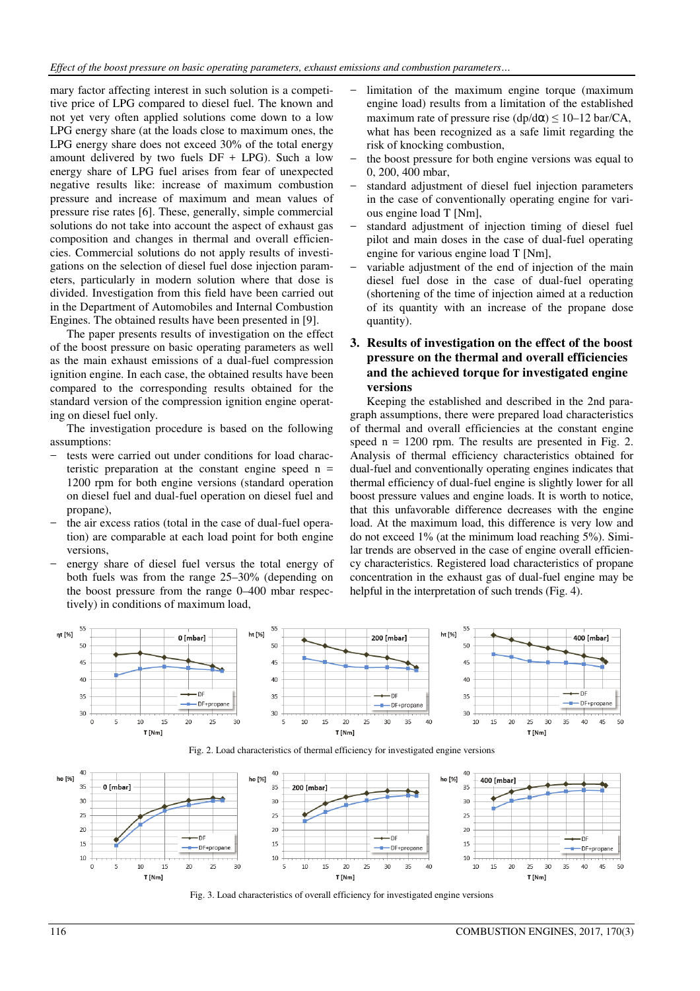mary factor affecting interest in such solution is a competitive price of LPG compared to diesel fuel. The known and not yet very often applied solutions come down to a low LPG energy share (at the loads close to maximum ones, the LPG energy share does not exceed 30% of the total energy amount delivered by two fuels  $DF + LPG$ ). Such a low energy share of LPG fuel arises from fear of unexpected negative results like: increase of maximum combustion pressure and increase of maximum and mean values of pressure rise rates [6]. These, generally, simple commercial solutions do not take into account the aspect of exhaust gas composition and changes in thermal and overall efficiencies. Commercial solutions do not apply results of investigations on the selection of diesel fuel dose injection parameters, particularly in modern solution where that dose is divided. Investigation from this field have been carried out in the Department of Automobiles and Internal Combustion Engines. The obtained results have been presented in [9].

The paper presents results of investigation on the effect of the boost pressure on basic operating parameters as well as the main exhaust emissions of a dual-fuel compression ignition engine. In each case, the obtained results have been compared to the corresponding results obtained for the standard version of the compression ignition engine operating on diesel fuel only.

The investigation procedure is based on the following assumptions:

- tests were carried out under conditions for load characteristic preparation at the constant engine speed  $n =$ 1200 rpm for both engine versions (standard operation on diesel fuel and dual-fuel operation on diesel fuel and propane),
- − the air excess ratios (total in the case of dual-fuel operation) are comparable at each load point for both engine versions,
- energy share of diesel fuel versus the total energy of both fuels was from the range 25–30% (depending on the boost pressure from the range 0–400 mbar respectively) in conditions of maximum load,
- limitation of the maximum engine torque (maximum engine load) results from a limitation of the established maximum rate of pressure rise  $(dp/d\alpha) \le 10-12$  bar/CA, what has been recognized as a safe limit regarding the risk of knocking combustion,
- the boost pressure for both engine versions was equal to 0, 200, 400 mbar,
- standard adjustment of diesel fuel injection parameters in the case of conventionally operating engine for various engine load T [Nm],
- standard adjustment of injection timing of diesel fuel pilot and main doses in the case of dual-fuel operating engine for various engine load T [Nm],
- variable adjustment of the end of injection of the main diesel fuel dose in the case of dual-fuel operating (shortening of the time of injection aimed at a reduction of its quantity with an increase of the propane dose quantity).

# **3. Results of investigation on the effect of the boost pressure on the thermal and overall efficiencies and the achieved torque for investigated engine versions**

Keeping the established and described in the 2nd paragraph assumptions, there were prepared load characteristics of thermal and overall efficiencies at the constant engine speed  $n = 1200$  rpm. The results are presented in Fig. 2. Analysis of thermal efficiency characteristics obtained for dual-fuel and conventionally operating engines indicates that thermal efficiency of dual-fuel engine is slightly lower for all boost pressure values and engine loads. It is worth to notice, that this unfavorable difference decreases with the engine load. At the maximum load, this difference is very low and do not exceed 1% (at the minimum load reaching 5%). Similar trends are observed in the case of engine overall efficiency characteristics. Registered load characteristics of propane concentration in the exhaust gas of dual-fuel engine may be helpful in the interpretation of such trends (Fig. 4).



Fig. 3. Load characteristics of overall efficiency for investigated engine versions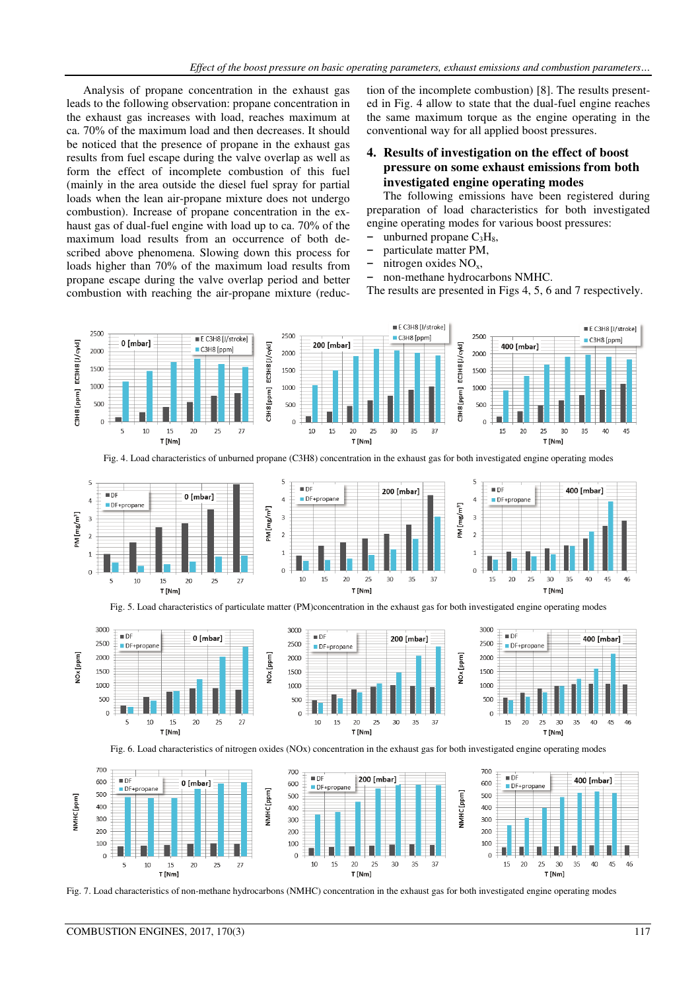Analysis of propane concentration in the exhaust gas leads to the following observation: propane concentration in the exhaust gas increases with load, reaches maximum at ca. 70% of the maximum load and then decreases. It should be noticed that the presence of propane in the exhaust gas results from fuel escape during the valve overlap as well as form the effect of incomplete combustion of this fuel (mainly in the area outside the diesel fuel spray for partial loads when the lean air-propane mixture does not undergo combustion). Increase of propane concentration in the exhaust gas of dual-fuel engine with load up to ca. 70% of the maximum load results from an occurrence of both described above phenomena. Slowing down this process for loads higher than 70% of the maximum load results from propane escape during the valve overlap period and better combustion with reaching the air-propane mixture (reduction of the incomplete combustion) [8]. The results presented in Fig. 4 allow to state that the dual-fuel engine reaches the same maximum torque as the engine operating in the conventional way for all applied boost pressures.

# **4. Results of investigation on the effect of boost pressure on some exhaust emissions from both investigated engine operating modes**

The following emissions have been registered during preparation of load characteristics for both investigated engine operating modes for various boost pressures:

- unburned propane  $C_3H_8$ ,
- **−** particulate matter PM,
- nitrogen oxides NO<sub>x</sub>,
- **−** non-methane hydrocarbons NMHC.

The results are presented in Figs 4, 5, 6 and 7 respectively.



Fig. 4. Load characteristics of unburned propane (C3H8) concentration in the exhaust gas for both investigated engine operating modes



Fig. 5. Load characteristics of particulate matter (PM)concentration in the exhaust gas for both investigated engine operating modes







Fig. 7. Load characteristics of non-methane hydrocarbons (NMHC) concentration in the exhaust gas for both investigated engine operating modes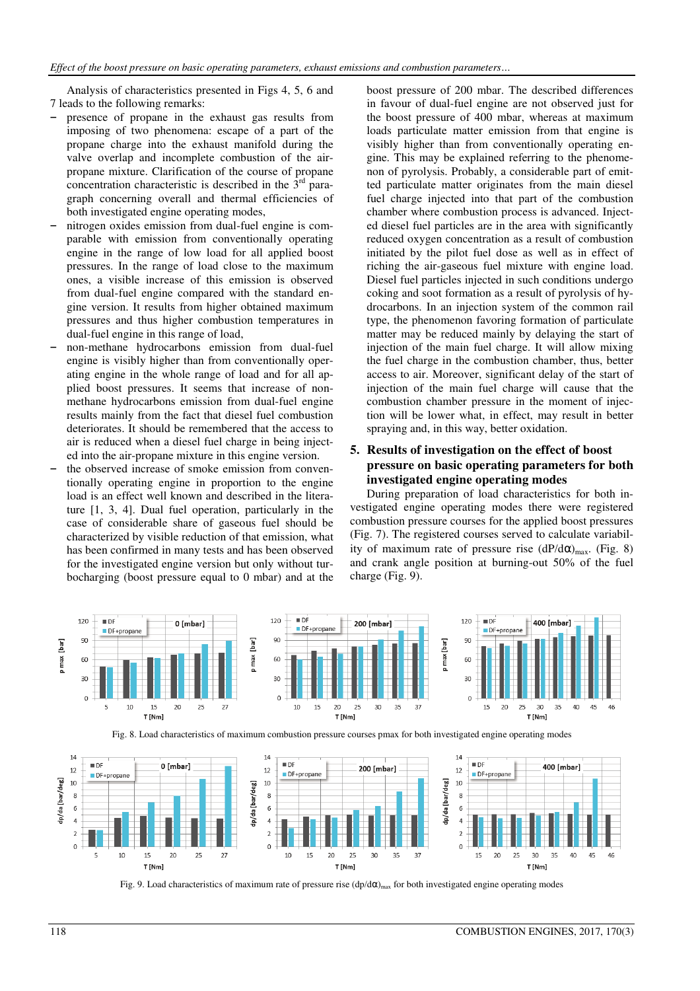Analysis of characteristics presented in Figs 4, 5, 6 and 7 leads to the following remarks:

- presence of propane in the exhaust gas results from imposing of two phenomena: escape of a part of the propane charge into the exhaust manifold during the valve overlap and incomplete combustion of the airpropane mixture. Clarification of the course of propane concentration characteristic is described in the  $3<sup>rd</sup>$  paragraph concerning overall and thermal efficiencies of both investigated engine operating modes,
- **−** nitrogen oxides emission from dual-fuel engine is comparable with emission from conventionally operating engine in the range of low load for all applied boost pressures. In the range of load close to the maximum ones, a visible increase of this emission is observed from dual-fuel engine compared with the standard engine version. It results from higher obtained maximum pressures and thus higher combustion temperatures in dual-fuel engine in this range of load,
- **−** non-methane hydrocarbons emission from dual-fuel engine is visibly higher than from conventionally operating engine in the whole range of load and for all applied boost pressures. It seems that increase of nonmethane hydrocarbons emission from dual-fuel engine results mainly from the fact that diesel fuel combustion deteriorates. It should be remembered that the access to air is reduced when a diesel fuel charge in being injected into the air-propane mixture in this engine version.
- the observed increase of smoke emission from conventionally operating engine in proportion to the engine load is an effect well known and described in the literature [1, 3, 4]. Dual fuel operation, particularly in the case of considerable share of gaseous fuel should be characterized by visible reduction of that emission, what has been confirmed in many tests and has been observed for the investigated engine version but only without turbocharging (boost pressure equal to 0 mbar) and at the

boost pressure of 200 mbar. The described differences in favour of dual-fuel engine are not observed just for the boost pressure of 400 mbar, whereas at maximum loads particulate matter emission from that engine is visibly higher than from conventionally operating engine. This may be explained referring to the phenomenon of pyrolysis. Probably, a considerable part of emitted particulate matter originates from the main diesel fuel charge injected into that part of the combustion chamber where combustion process is advanced. Injected diesel fuel particles are in the area with significantly reduced oxygen concentration as a result of combustion initiated by the pilot fuel dose as well as in effect of riching the air-gaseous fuel mixture with engine load. Diesel fuel particles injected in such conditions undergo coking and soot formation as a result of pyrolysis of hydrocarbons. In an injection system of the common rail type, the phenomenon favoring formation of particulate matter may be reduced mainly by delaying the start of injection of the main fuel charge. It will allow mixing the fuel charge in the combustion chamber, thus, better access to air. Moreover, significant delay of the start of injection of the main fuel charge will cause that the combustion chamber pressure in the moment of injection will be lower what, in effect, may result in better spraying and, in this way, better oxidation.

## **5. Results of investigation on the effect of boost pressure on basic operating parameters for both investigated engine operating modes**

During preparation of load characteristics for both investigated engine operating modes there were registered combustion pressure courses for the applied boost pressures (Fig. 7). The registered courses served to calculate variability of maximum rate of pressure rise  $(dP/d\alpha)_{max}$ . (Fig. 8) and crank angle position at burning-out 50% of the fuel charge (Fig. 9).





Fig. 9. Load characteristics of maximum rate of pressure rise  $(dp/d\alpha)_{max}$  for both investigated engine operating modes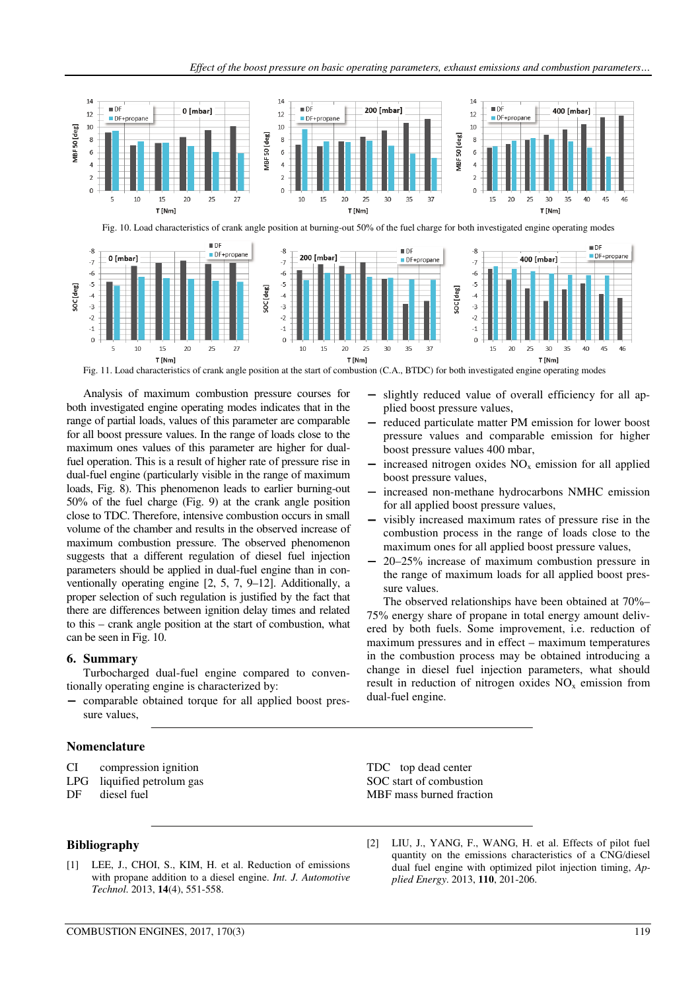

Analysis of maximum combustion pressure courses for both investigated engine operating modes indicates that in the range of partial loads, values of this parameter are comparable for all boost pressure values. In the range of loads close to the maximum ones values of this parameter are higher for dualfuel operation. This is a result of higher rate of pressure rise in dual-fuel engine (particularly visible in the range of maximum loads, Fig. 8). This phenomenon leads to earlier burning-out 50% of the fuel charge (Fig. 9) at the crank angle position close to TDC. Therefore, intensive combustion occurs in small volume of the chamber and results in the observed increase of maximum combustion pressure. The observed phenomenon suggests that a different regulation of diesel fuel injection parameters should be applied in dual-fuel engine than in conventionally operating engine [2, 5, 7, 9–12]. Additionally, a proper selection of such regulation is justified by the fact that there are differences between ignition delay times and related to this – crank angle position at the start of combustion, what can be seen in Fig. 10.

### **6. Summary**

Turbocharged dual-fuel engine compared to conventionally operating engine is characterized by:

− comparable obtained torque for all applied boost pressure values,

#### **Nomenclature**

| CI | compression ignition |  |
|----|----------------------|--|
|    |                      |  |

- LPG liquified petrolum gas
- DF diesel fuel

### **Bibliography**

[1] LEE, J., CHOI, S., KIM, H. et al. Reduction of emissions with propane addition to a diesel engine. *Int. J. Automotive Technol*. 2013, **14**(4), 551-558.

- slightly reduced value of overall efficiency for all applied boost pressure values,
- reduced particulate matter PM emission for lower boost pressure values and comparable emission for higher boost pressure values 400 mbar,
- increased nitrogen oxides  $NO<sub>x</sub>$  emission for all applied boost pressure values,
- increased non-methane hydrocarbons NMHC emission for all applied boost pressure values,
- visibly increased maximum rates of pressure rise in the combustion process in the range of loads close to the maximum ones for all applied boost pressure values,
- − 20–25% increase of maximum combustion pressure in the range of maximum loads for all applied boost pressure values.

The observed relationships have been obtained at 70%– 75% energy share of propane in total energy amount delivered by both fuels. Some improvement, i.e. reduction of maximum pressures and in effect – maximum temperatures in the combustion process may be obtained introducing a change in diesel fuel injection parameters, what should result in reduction of nitrogen oxides  $NO<sub>x</sub>$  emission from dual-fuel engine.

TDC top dead center SOC start of combustion MBF mass burned fraction

[2] LIU, J., YANG, F., WANG, H. et al. Effects of pilot fuel quantity on the emissions characteristics of a CNG/diesel dual fuel engine with optimized pilot injection timing, *Applied Energy*. 2013, **110**, 201-206.